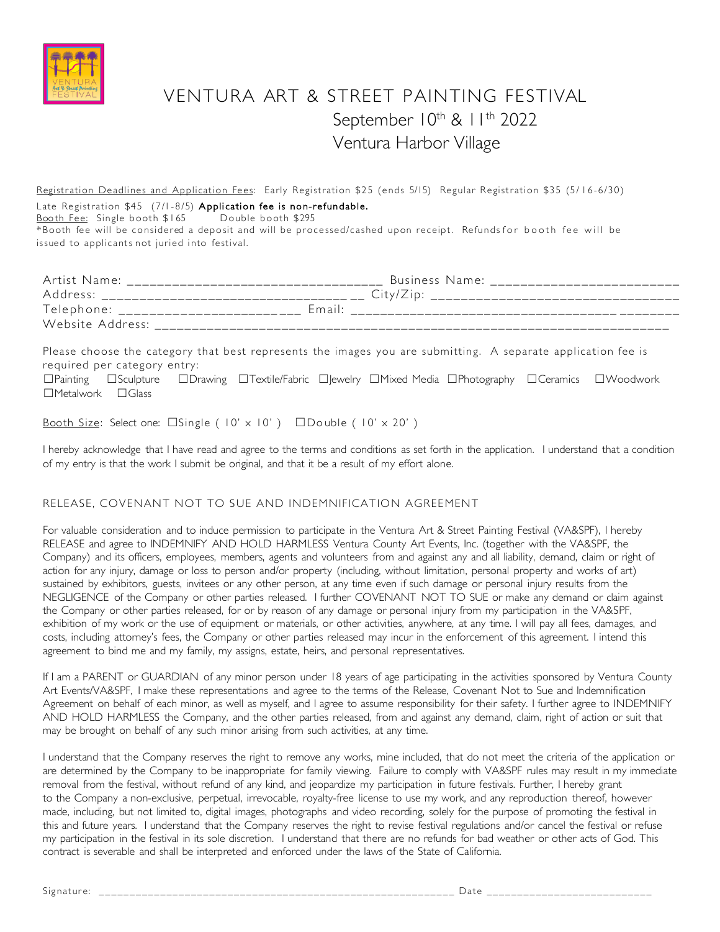

# VENTURA ART & STREET PAINTING FESTIVAL September 10th & 11th 2022 Ventura Harbor Village

Registration Deadlines and Application Fees: Early Registration \$25 (ends 5/15) Regular Registration \$35 (5/16-6/30) Late Registration \$45 (7/1-8/5) Application fee is non-refundable. Booth Fee: Single booth \$165 Double booth \$295 \*Booth fee will be considered a deposit and will be processed/cashed upon receipt. Refundsfor booth fee will be issued to applicants not juried into festival.

| Artist Name:     | Business Name:                               |
|------------------|----------------------------------------------|
| Address:         | City/ZID                                     |
|                  | Telephone: _____________________<br>$F$ mail |
| Website Address: |                                              |

Please choose the category that best represents the images you are submitting. A separate application fee is required per category entry: □Painting □Sculpture □Drawing □Textile/Fabric □|ewelry □Mixed Media □Photography □Ceramics □Woodwork  $\Box$ Metalwork  $\Box$ Glass

Booth Size: Select one:  $\square$ Single (10' x 10')  $\square$ Double (10' x 20')

I hereby acknowledge that I have read and agree to the terms and conditions as set forth in the application. I understand that a condition of my entry is that the work I submit be original, and that it be a result of my effort alone.

## RELEASE, COVENANT NOT TO SUE AND INDEMNIFICATION AGREEMENT

For valuable consideration and to induce permission to participate in the Ventura Art & Street Painting Festival (VA&SPF), I hereby RELEASE and agree to INDEMNIFY AND HOLD HARMLESS Ventura County Art Events, Inc. (together with the VA&SPF, the Company) and its officers, employees, members, agents and volunteers from and against any and all liability, demand, claim or right of action for any injury, damage or loss to person and/or property (including, without limitation, personal property and works of art) sustained by exhibitors, guests, invitees or any other person, at any time even if such damage or personal injury results from the NEGLIGENCE of the Company or other parties released. I further COVENANT NOT TO SUE or make any demand or claim against the Company or other parties released, for or by reason of any damage or personal injury from my participation in the VA&SPF, exhibition of my work or the use of equipment or materials, or other activities, anywhere, at any time. I will pay all fees, damages, and costs, including attorney's fees, the Company or other parties released may incur in the enforcement of this agreement. I intend this agreement to bind me and my family, my assigns, estate, heirs, and personal representatives.

If I am a PARENT or GUARDIAN of any minor person under 18 years of age participating in the activities sponsored by Ventura County Art Events/VA&SPF, I make these representations and agree to the terms of the Release, Covenant Not to Sue and Indemnification Agreement on behalf of each minor, as well as myself, and I agree to assume responsibility for their safety. I further agree to INDEMNIFY AND HOLD HARMLESS the Company, and the other parties released, from and against any demand, claim, right of action or suit that may be brought on behalf of any such minor arising from such activities, at any time.

I understand that the Company reserves the right to remove any works, mine included, that do not meet the criteria of the application or are determined by the Company to be inappropriate for family viewing. Failure to comply with VA&SPF rules may result in my immediate removal from the festival, without refund of any kind, and jeopardize my participation in future festivals. Further, I hereby grant to the Company a non-exclusive, perpetual, irrevocable, royalty-free license to use my work, and any reproduction thereof, however made, including, but not limited to, digital images, photographs and video recording, solely for the purpose of promoting the festival in this and future years. I understand that the Company reserves the right to revise festival regulations and/or cancel the festival or refuse my participation in the festival in its sole discretion. I understand that there are no refunds for bad weather or other acts of God. This contract is severable and shall be interpreted and enforced under the laws of the State of California.